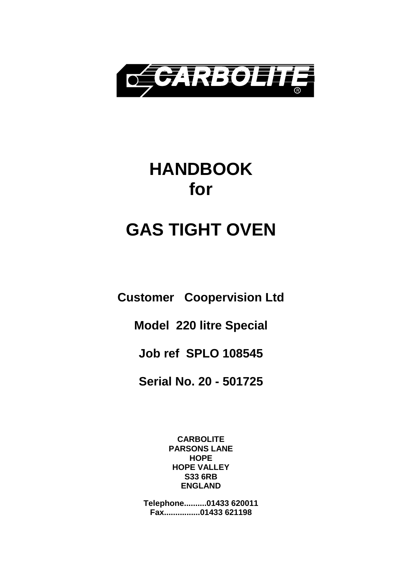

# **HANDBOOK for**

# **GAS TIGHT OVEN**

**Customer Coopervision Ltd**

**Model 220 litre Special**

**Job ref SPLO 108545**

**Serial No. 20 - 501725** 

**CARBOLITE PARSONS LANE HOPE HOPE VALLEY S33 6RB ENGLAND**

**Telephone..........01433 620011 Fax................01433 621198**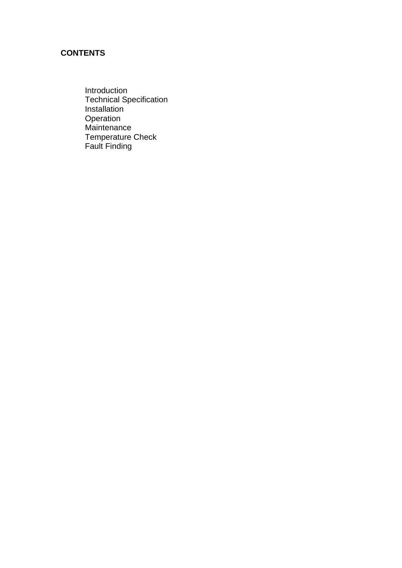### **CONTENTS**

Introduction Technical Specification Installation Operation **Maintenance** Temperature Check Fault Finding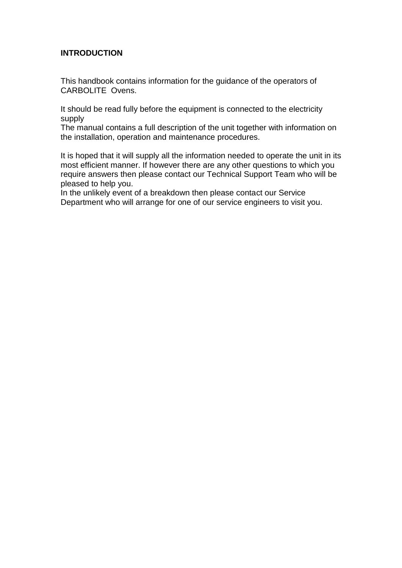#### **INTRODUCTION**

This handbook contains information for the guidance of the operators of CARBOLITE Ovens.

It should be read fully before the equipment is connected to the electricity supply

The manual contains a full description of the unit together with information on the installation, operation and maintenance procedures.

It is hoped that it will supply all the information needed to operate the unit in its most efficient manner. If however there are any other questions to which you require answers then please contact our Technical Support Team who will be pleased to help you.

In the unlikely event of a breakdown then please contact our Service Department who will arrange for one of our service engineers to visit you.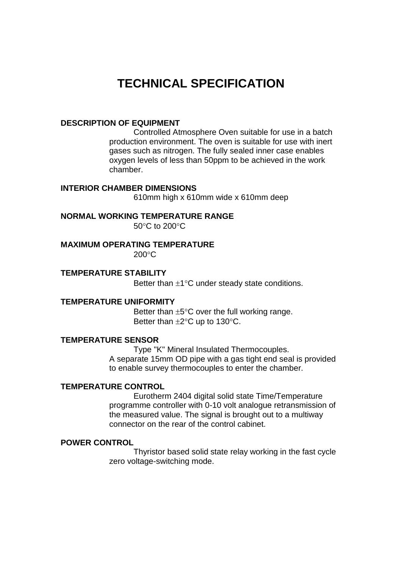# **TECHNICAL SPECIFICATION**

#### **DESCRIPTION OF EQUIPMENT**

 Controlled Atmosphere Oven suitable for use in a batch production environment. The oven is suitable for use with inert gases such as nitrogen. The fully sealed inner case enables oxygen levels of less than 50ppm to be achieved in the work chamber.

#### **INTERIOR CHAMBER DIMENSIONS**

610mm high x 610mm wide x 610mm deep

#### **NORMAL WORKING TEMPERATURE RANGE**

 $50^{\circ}$ C to 200 $^{\circ}$ C

#### **MAXIMUM OPERATING TEMPERATURE**

200C

#### **TEMPERATURE STABILITY**

Better than  $\pm 1^{\circ}$ C under steady state conditions.

#### **TEMPERATURE UNIFORMITY**

Better than  $\pm 5^{\circ}$ C over the full working range. Better than  $\pm 2^{\circ}$ C up to 130 $^{\circ}$ C.

#### **TEMPERATURE SENSOR**

 Type "K" Mineral Insulated Thermocouples. A separate 15mm OD pipe with a gas tight end seal is provided to enable survey thermocouples to enter the chamber.

#### **TEMPERATURE CONTROL**

 Eurotherm 2404 digital solid state Time/Temperature programme controller with 0-10 volt analogue retransmission of the measured value. The signal is brought out to a multiway connector on the rear of the control cabinet.

#### **POWER CONTROL**

 Thyristor based solid state relay working in the fast cycle zero voltage-switching mode.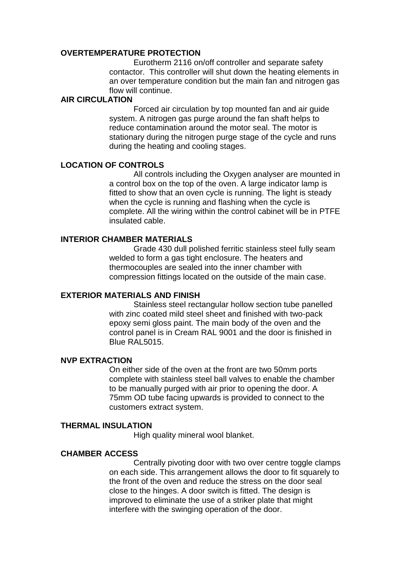#### **OVERTEMPERATURE PROTECTION**

 Eurotherm 2116 on/off controller and separate safety contactor. This controller will shut down the heating elements in an over temperature condition but the main fan and nitrogen gas flow will continue.

#### **AIR CIRCULATION**

 Forced air circulation by top mounted fan and air guide system. A nitrogen gas purge around the fan shaft helps to reduce contamination around the motor seal. The motor is stationary during the nitrogen purge stage of the cycle and runs during the heating and cooling stages.

#### **LOCATION OF CONTROLS**

 All controls including the Oxygen analyser are mounted in a control box on the top of the oven. A large indicator lamp is fitted to show that an oven cycle is running. The light is steady when the cycle is running and flashing when the cycle is complete. All the wiring within the control cabinet will be in PTFE insulated cable.

#### **INTERIOR CHAMBER MATERIALS**

 Grade 430 dull polished ferritic stainless steel fully seam welded to form a gas tight enclosure. The heaters and thermocouples are sealed into the inner chamber with compression fittings located on the outside of the main case.

#### **EXTERIOR MATERIALS AND FINISH**

 Stainless steel rectangular hollow section tube panelled with zinc coated mild steel sheet and finished with two-pack epoxy semi gloss paint. The main body of the oven and the control panel is in Cream RAL 9001 and the door is finished in Blue RAL5015.

#### **NVP EXTRACTION**

On either side of the oven at the front are two 50mm ports complete with stainless steel ball valves to enable the chamber to be manually purged with air prior to opening the door. A 75mm OD tube facing upwards is provided to connect to the customers extract system.

#### **THERMAL INSULATION**

High quality mineral wool blanket.

#### **CHAMBER ACCESS**

 Centrally pivoting door with two over centre toggle clamps on each side. This arrangement allows the door to fit squarely to the front of the oven and reduce the stress on the door seal close to the hinges. A door switch is fitted. The design is improved to eliminate the use of a striker plate that might interfere with the swinging operation of the door.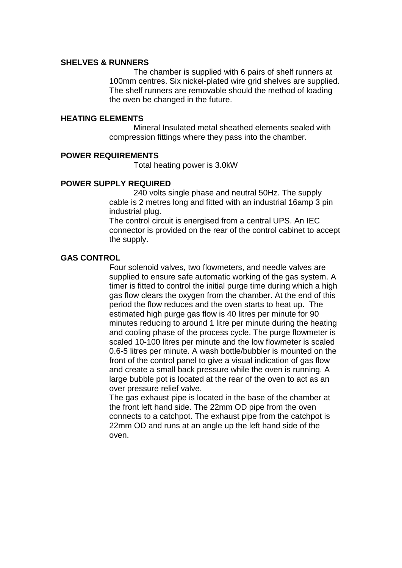#### **SHELVES & RUNNERS**

 The chamber is supplied with 6 pairs of shelf runners at 100mm centres. Six nickel-plated wire grid shelves are supplied. The shelf runners are removable should the method of loading the oven be changed in the future.

#### **HEATING ELEMENTS**

 Mineral Insulated metal sheathed elements sealed with compression fittings where they pass into the chamber.

#### **POWER REQUIREMENTS**

Total heating power is 3.0kW

#### **POWER SUPPLY REQUIRED**

 240 volts single phase and neutral 50Hz. The supply cable is 2 metres long and fitted with an industrial 16amp 3 pin industrial plug.

The control circuit is energised from a central UPS. An IEC connector is provided on the rear of the control cabinet to accept the supply.

#### **GAS CONTROL**

 Four solenoid valves, two flowmeters, and needle valves are supplied to ensure safe automatic working of the gas system. A timer is fitted to control the initial purge time during which a high gas flow clears the oxygen from the chamber. At the end of this period the flow reduces and the oven starts to heat up. The estimated high purge gas flow is 40 litres per minute for 90 minutes reducing to around 1 litre per minute during the heating and cooling phase of the process cycle. The purge flowmeter is scaled 10-100 litres per minute and the low flowmeter is scaled 0.6-5 litres per minute. A wash bottle/bubbler is mounted on the front of the control panel to give a visual indication of gas flow and create a small back pressure while the oven is running. A large bubble pot is located at the rear of the oven to act as an over pressure relief valve.

The gas exhaust pipe is located in the base of the chamber at the front left hand side. The 22mm OD pipe from the oven connects to a catchpot. The exhaust pipe from the catchpot is 22mm OD and runs at an angle up the left hand side of the oven.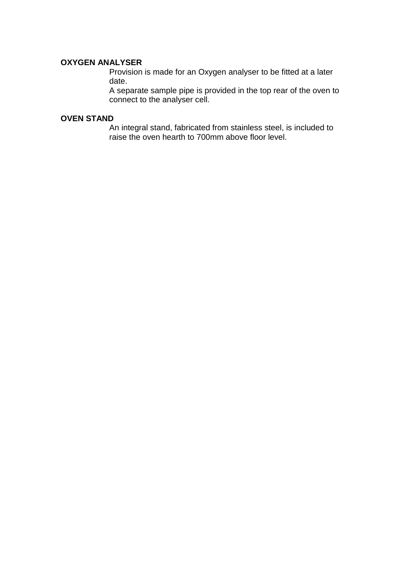#### **OXYGEN ANALYSER**

Provision is made for an Oxygen analyser to be fitted at a later date.

A separate sample pipe is provided in the top rear of the oven to connect to the analyser cell.

#### **OVEN STAND**

 An integral stand, fabricated from stainless steel, is included to raise the oven hearth to 700mm above floor level.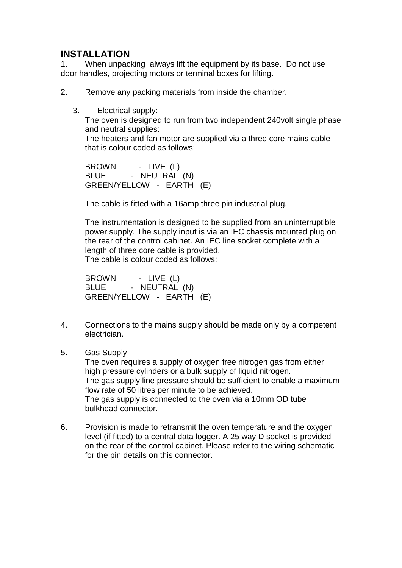# **INSTALLATION**<br>1. When unpact

When unpacking always lift the equipment by its base. Do not use door handles, projecting motors or terminal boxes for lifting.

2. Remove any packing materials from inside the chamber.

3. Electrical supply:

The oven is designed to run from two independent 240volt single phase and neutral supplies:

 The heaters and fan motor are supplied via a three core mains cable that is colour coded as follows:

 BROWN - LIVE (L) BLUE - NEUTRAL (N) GREEN/YELLOW - EARTH (E)

The cable is fitted with a 16amp three pin industrial plug.

The instrumentation is designed to be supplied from an uninterruptible power supply. The supply input is via an IEC chassis mounted plug on the rear of the control cabinet. An IEC line socket complete with a length of three core cable is provided.

The cable is colour coded as follows:

 BROWN - LIVE (L) BLUE - NEUTRAL (N) GREEN/YELLOW - EARTH (E)

- 4. Connections to the mains supply should be made only by a competent electrician.
- 5. Gas Supply

 The oven requires a supply of oxygen free nitrogen gas from either high pressure cylinders or a bulk supply of liquid nitrogen. The gas supply line pressure should be sufficient to enable a maximum flow rate of 50 litres per minute to be achieved. The gas supply is connected to the oven via a 10mm OD tube bulkhead connector.

6. Provision is made to retransmit the oven temperature and the oxygen level (if fitted) to a central data logger. A 25 way D socket is provided on the rear of the control cabinet. Please refer to the wiring schematic for the pin details on this connector.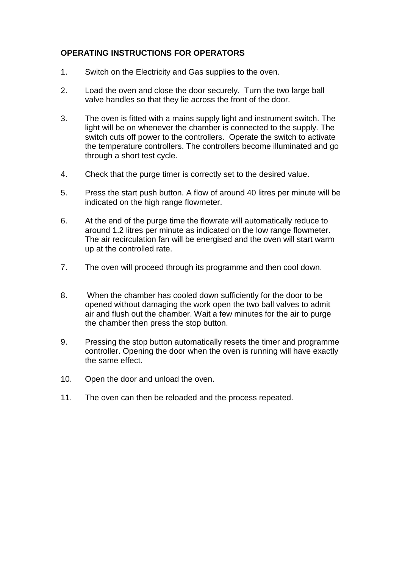#### **OPERATING INSTRUCTIONS FOR OPERATORS**

- 1. Switch on the Electricity and Gas supplies to the oven.
- 2. Load the oven and close the door securely. Turn the two large ball valve handles so that they lie across the front of the door.
- 3. The oven is fitted with a mains supply light and instrument switch. The light will be on whenever the chamber is connected to the supply. The switch cuts off power to the controllers. Operate the switch to activate the temperature controllers. The controllers become illuminated and go through a short test cycle.
- 4. Check that the purge timer is correctly set to the desired value.
- 5. Press the start push button. A flow of around 40 litres per minute will be indicated on the high range flowmeter.
- 6. At the end of the purge time the flowrate will automatically reduce to around 1.2 litres per minute as indicated on the low range flowmeter. The air recirculation fan will be energised and the oven will start warm up at the controlled rate.
- 7. The oven will proceed through its programme and then cool down.
- 8. When the chamber has cooled down sufficiently for the door to be opened without damaging the work open the two ball valves to admit air and flush out the chamber. Wait a few minutes for the air to purge the chamber then press the stop button.
- 9. Pressing the stop button automatically resets the timer and programme controller. Opening the door when the oven is running will have exactly the same effect.
- 10. Open the door and unload the oven.
- 11. The oven can then be reloaded and the process repeated.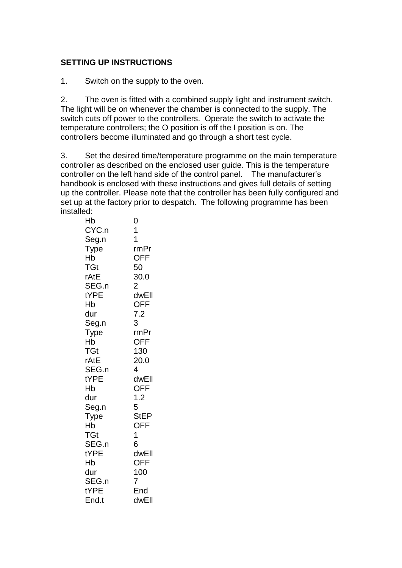#### **SETTING UP INSTRUCTIONS**

1. Switch on the supply to the oven.

2. The oven is fitted with a combined supply light and instrument switch. The light will be on whenever the chamber is connected to the supply. The switch cuts off power to the controllers. Operate the switch to activate the temperature controllers; the O position is off the I position is on. The controllers become illuminated and go through a short test cycle.

3. Set the desired time/temperature programme on the main temperature controller as described on the enclosed user guide. This is the temperature controller on the left hand side of the control panel. The manufacturer's handbook is enclosed with these instructions and gives full details of setting up the controller. Please note that the controller has been fully configured and set up at the factory prior to despatch. The following programme has been installed:

| Hb          | 0              |
|-------------|----------------|
| CYC.n       | 1              |
| Seg.n       | 1              |
| <b>Type</b> | rmPr           |
| Hb          | <b>OFF</b>     |
| TGt         | 50             |
| rAtE        | 30.0           |
| SEG.n       | $\overline{2}$ |
| tYPE        | dwEll          |
| Hb          | <b>OFF</b>     |
| dur         | 7.2            |
| Seg.n       | 3              |
| Type        | rmPr           |
| Hb          | <b>OFF</b>     |
| TGt         | 130            |
| rAtE        | 20.0           |
| SEG.n       | 4              |
| tYPE        | dwEll          |
| Hb          | <b>OFF</b>     |
| dur         | 1.2            |
| Seg.n       | 5              |
| Type        | <b>StEP</b>    |
| Hb          | <b>OFF</b>     |
| <b>TGt</b>  | 1              |
| SEG.n       | 6              |
| tYPE        | dwEll          |
| Hb          | <b>OFF</b>     |
| dur         | 100            |
| SEG.n       | 7              |
| tYPE        | End            |
| End.t       | dwEll          |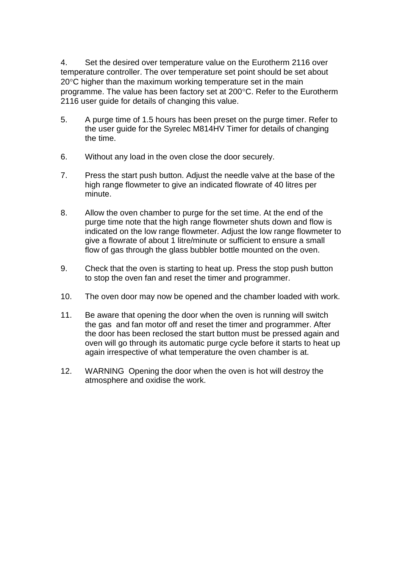4. Set the desired over temperature value on the Eurotherm 2116 over temperature controller. The over temperature set point should be set about 20°C higher than the maximum working temperature set in the main programme. The value has been factory set at 200°C. Refer to the Eurotherm 2116 user guide for details of changing this value.

- 5. A purge time of 1.5 hours has been preset on the purge timer. Refer to the user guide for the Syrelec M814HV Timer for details of changing the time.
- 6. Without any load in the oven close the door securely.
- 7. Press the start push button. Adjust the needle valve at the base of the high range flowmeter to give an indicated flowrate of 40 litres per minute.
- 8. Allow the oven chamber to purge for the set time. At the end of the purge time note that the high range flowmeter shuts down and flow is indicated on the low range flowmeter. Adjust the low range flowmeter to give a flowrate of about 1 litre/minute or sufficient to ensure a small flow of gas through the glass bubbler bottle mounted on the oven.
- 9. Check that the oven is starting to heat up. Press the stop push button to stop the oven fan and reset the timer and programmer.
- 10. The oven door may now be opened and the chamber loaded with work.
- 11. Be aware that opening the door when the oven is running will switch the gas and fan motor off and reset the timer and programmer. After the door has been reclosed the start button must be pressed again and oven will go through its automatic purge cycle before it starts to heat up again irrespective of what temperature the oven chamber is at.
- 12. WARNING Opening the door when the oven is hot will destroy the atmosphere and oxidise the work.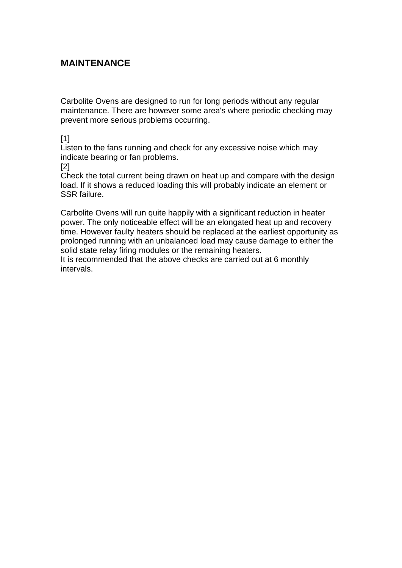### **MAINTENANCE**

Carbolite Ovens are designed to run for long periods without any regular maintenance. There are however some area's where periodic checking may prevent more serious problems occurring.

[1]

Listen to the fans running and check for any excessive noise which may indicate bearing or fan problems.

[2]

Check the total current being drawn on heat up and compare with the design load. If it shows a reduced loading this will probably indicate an element or SSR failure.

Carbolite Ovens will run quite happily with a significant reduction in heater power. The only noticeable effect will be an elongated heat up and recovery time. However faulty heaters should be replaced at the earliest opportunity as prolonged running with an unbalanced load may cause damage to either the solid state relay firing modules or the remaining heaters.

It is recommended that the above checks are carried out at 6 monthly intervals.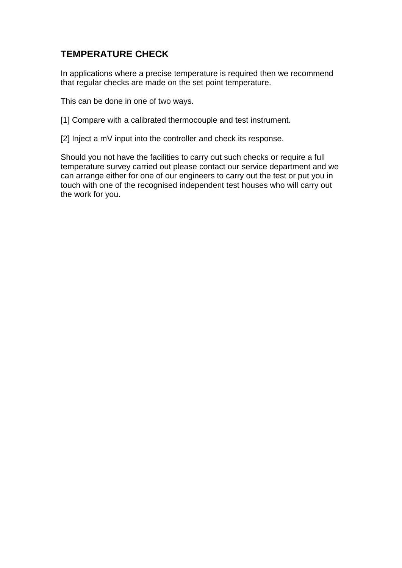### **TEMPERATURE CHECK**

In applications where a precise temperature is required then we recommend that regular checks are made on the set point temperature.

This can be done in one of two ways.

[1] Compare with a calibrated thermocouple and test instrument.

[2] Inject a mV input into the controller and check its response.

Should you not have the facilities to carry out such checks or require a full temperature survey carried out please contact our service department and we can arrange either for one of our engineers to carry out the test or put you in touch with one of the recognised independent test houses who will carry out the work for you.